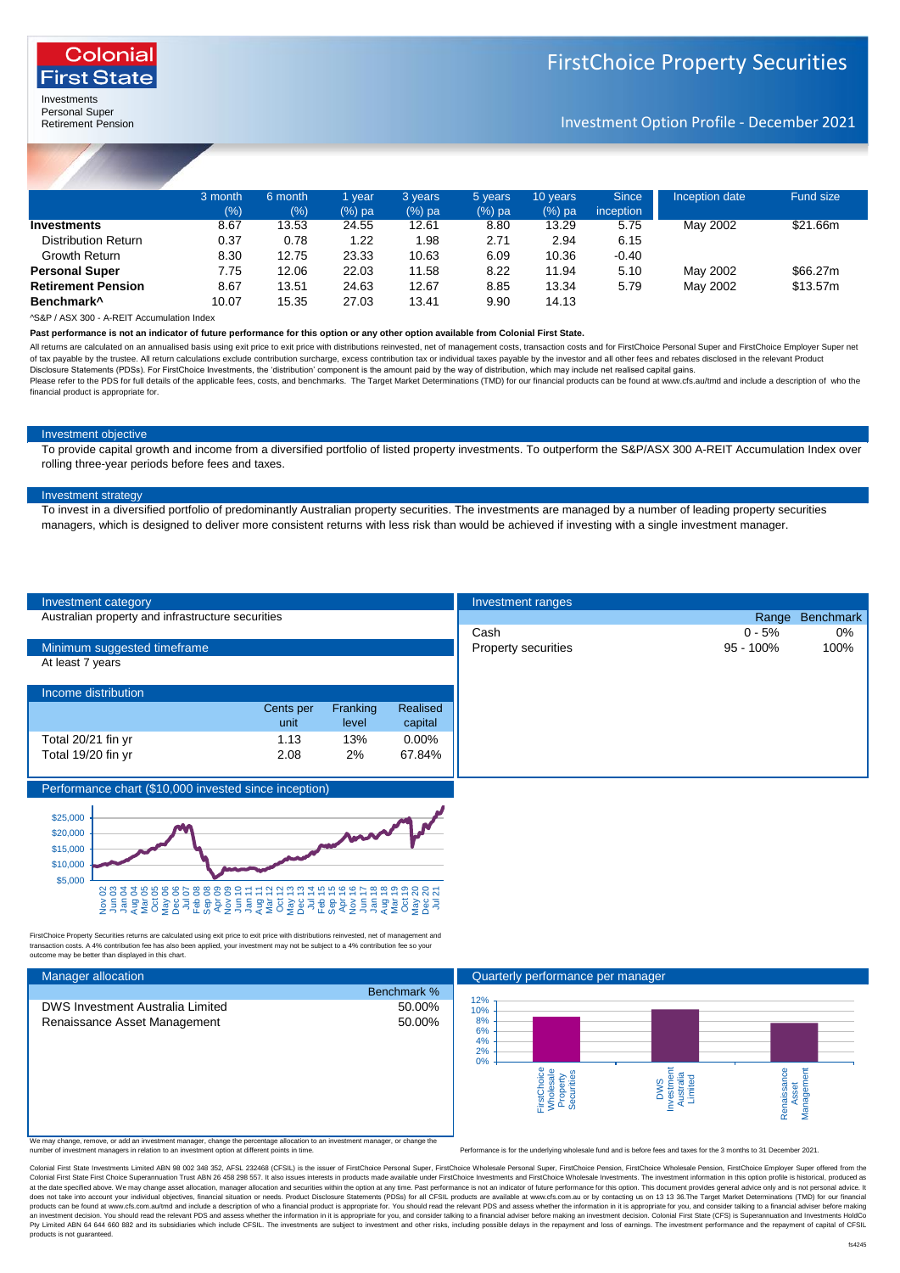

Investments Personal Super Retirement Pension

Colonia **First State** 

Investment Option Profile - December 2021

|                            | 3 month | 6 month | 1 vear    | 3 years   | 5 years  | 10 years | <b>Since</b> | Inception date | <b>Fund size</b> |  |
|----------------------------|---------|---------|-----------|-----------|----------|----------|--------------|----------------|------------------|--|
|                            | (%)     | (%)     | $(\%)$ pa | $(\%)$ pa | $(%)$ pa | $(%)$ pa | inception    |                |                  |  |
| Investments                | 8.67    | 13.53   | 24.55     | 12.61     | 8.80     | 13.29    | 5.75         | May 2002       | \$21.66m         |  |
| <b>Distribution Return</b> | 0.37    | 0.78    | 1.22      | 1.98      | 2.71     | 2.94     | 6.15         |                |                  |  |
| Growth Return              | 8.30    | 12.75   | 23.33     | 10.63     | 6.09     | 10.36    | $-0.40$      |                |                  |  |
| <b>Personal Super</b>      | 7.75    | 12.06   | 22.03     | 11.58     | 8.22     | 11.94    | 5.10         | May 2002       | \$66,27m         |  |
| <b>Retirement Pension</b>  | 8.67    | 13.51   | 24.63     | 12.67     | 8.85     | 13.34    | 5.79         | May 2002       | \$13.57m         |  |
| Benchmark <sup>^</sup>     | 10.07   | 15.35   | 27.03     | 13.41     | 9.90     | 14.13    |              |                |                  |  |
|                            |         |         |           |           |          |          |              |                |                  |  |

^S&P / ASX 300 - A-REIT Accumulation Index

**Past performance is not an indicator of future performance for this option or any other option available from Colonial First State.**

All returns are calculated on an annualised basis using exit price to exit price with distributions reinvested, net of management costs, transaction costs and for FirstChoice Personal Super and FirstChoice Employer Super n of tax payable by the trustee. All return calculations exclude contribution surcharge, excess contribution tax or individual taxes payable by the investor and all other fees and rebates disclosed in the relevant Product<br>Di

Please refer to the PDS for full details of the applicable fees, costs, and benchmarks. The Target Market Determinations (TMD) for our financial products can be found at www.cfs.au/tmd and include a description of who the financial product is appropriate for.

### Investment objective

To provide capital growth and income from a diversified portfolio of listed property investments. To outperform the S&P/ASX 300 A-REIT Accumulation Index over rolling three-year periods before fees and taxes.

### Investment strategy

To invest in a diversified portfolio of predominantly Australian property securities. The investments are managed by a number of leading property securities managers, which is designed to deliver more consistent returns with less risk than would be achieved if investing with a single investment manager.

| Investment category                                   |           |          |          | Investment ranges          |              |                  |
|-------------------------------------------------------|-----------|----------|----------|----------------------------|--------------|------------------|
| Australian property and infrastructure securities     |           |          |          |                            | Range        | <b>Benchmark</b> |
|                                                       |           |          |          | Cash                       | 0 - 5%       |                  |
| Minimum suggested timeframe                           |           |          |          | <b>Property securities</b> | $95 - 100\%$ |                  |
| At least 7 years                                      |           |          |          |                            |              |                  |
|                                                       |           |          |          |                            |              |                  |
| Income distribution                                   |           |          |          |                            |              |                  |
|                                                       | Cents per | Franking | Realised |                            |              |                  |
|                                                       | unit      | level    | capital  |                            |              |                  |
| Total 20/21 fin yr                                    | 1.13      | 13%      | $0.00\%$ |                            |              |                  |
| Total 19/20 fin yr                                    | 2.08      | 2%       | 67.84%   |                            |              |                  |
|                                                       |           |          |          |                            |              |                  |
| Performance chart (\$10,000 invested since inception) |           |          |          |                            |              |                  |



FirstChoice Property Securities returns are calculated using exit price to exit price with distributions reinvested, net of management and<br>transaction costs. A 4% contribution fee has also been applied, your investment may outcome may be better than displayed in this chart.

| <b>Manager allocation</b> |  |
|---------------------------|--|
|                           |  |

We may change, remove, or add an investment manager, change the percentage allocation to an investment manager, or change the<br>number of investment managers in relation to an investment option at different points in time.

mance is for the underlying wholesale fund and is before fees and taxes for the 3 months to 31 December 2021.

Colonial First State Investments Limited ABN 98 002 348 352, AFSL 232468 (CFSIL) is the issuer of FirstChoice Personal Super, FirstChoice Personal Super, FirstChoice Pension, FirstChoice Wholesale Personal Fuper State Pens Colonial First State First Choice Superannuation Trust ARN 26 458 298 557 It also issues interests in products made available under FirstChoice Investments and FirstChoice Wholesale Investments. The investment information at the date specified above. We may change asset allocation, manager allocation and securities within the option at any time. Past performance is not an idicator of future performance for this option. This document provide an investment decision. You should read the relevant PDS and assess whether the information in it is appropriate for you, and consider talking to a financial adviser before making an investment decision. Colonial First Sta products is not guaranteed.